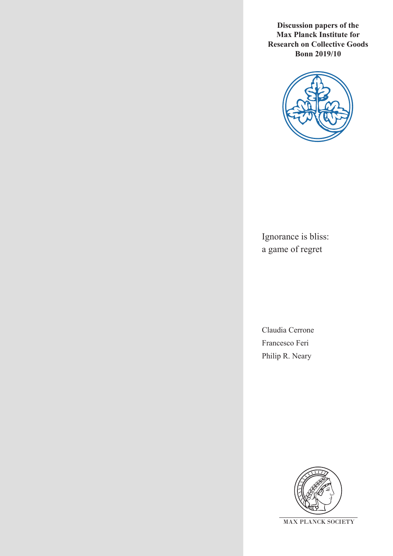**Discussion papers of the Max Planck Institute for Research on Collective Goods Bonn 2019/10**



Ignorance is bliss: a game of regret

Claudia Cerrone Francesco Feri Philip R. Neary

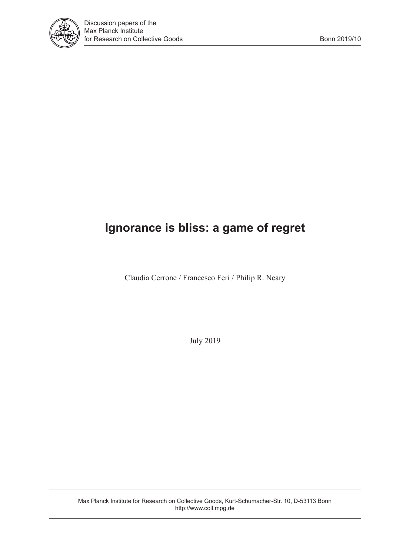

# **Ignorance is bliss: a game of regret**

Claudia Cerrone / Francesco Feri / Philip R. Neary

July 2019

Max Planck Institute for Research on Collective Goods, Kurt-Schumacher-Str. 10, D-53113 Bonn http://www.coll.mpg.de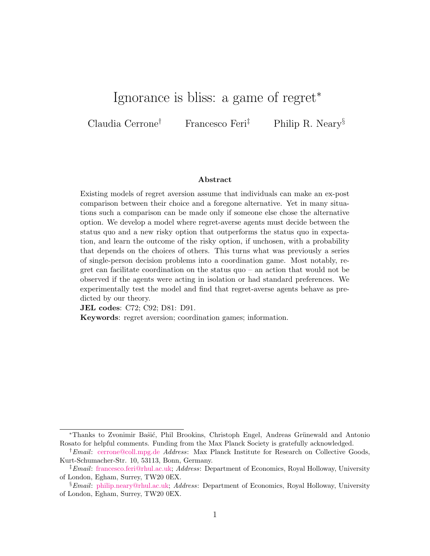# Ignorance is bliss: a game of regret<sup>∗</sup>

Claudia Cerrone† Francesco Feri‡ Philip R. Neary§

#### Abstract

Existing models of regret aversion assume that individuals can make an ex-post comparison between their choice and a foregone alternative. Yet in many situations such a comparison can be made only if someone else chose the alternative option. We develop a model where regret-averse agents must decide between the status quo and a new risky option that outperforms the status quo in expectation, and learn the outcome of the risky option, if unchosen, with a probability that depends on the choices of others. This turns what was previously a series of single-person decision problems into a coordination game. Most notably, regret can facilitate coordination on the status quo – an action that would not be observed if the agents were acting in isolation or had standard preferences. We experimentally test the model and find that regret-averse agents behave as predicted by our theory.

JEL codes: C72; C92; D81: D91.

Keywords: regret aversion; coordination games; information.

<sup>\*</sup>Thanks to Zvonimir Baŝić, Phil Brookins, Christoph Engel, Andreas Grünewald and Antonio Rosato for helpful comments. Funding from the Max Planck Society is gratefully acknowledged.

<sup>&</sup>lt;sup>†</sup>*Email*: [cerrone@coll.mpg.de](mailto:cerrone@coll.mpg.de) *Address*: Max Planck Institute for Research on Collective Goods, Kurt-Schumacher-Str. 10, 53113, Bonn, Germany.

<sup>‡</sup>Email: [francesco.feri@rhul.ac.uk;](mailto:francesco.feri@rhul.ac.uk) Address: Department of Economics, Royal Holloway, University of London, Egham, Surrey, TW20 0EX.

<sup>§</sup>Email: [philip.neary@rhul.ac.uk;](mailto:philip.neary@rhul.ac.uk) Address: Department of Economics, Royal Holloway, University of London, Egham, Surrey, TW20 0EX.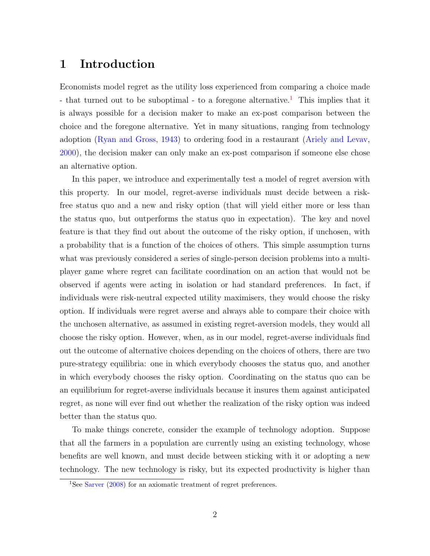# 1 Introduction

Economists model regret as the utility loss experienced from comparing a choice made - that turned out to be suboptimal - to a foregone alternative.<sup>[1](#page-3-0)</sup> This implies that it is always possible for a decision maker to make an ex-post comparison between the choice and the foregone alternative. Yet in many situations, ranging from technology adoption [\(Ryan and Gross,](#page-29-0) [1943\)](#page-29-0) to ordering food in a restaurant [\(Ariely and Levav,](#page-28-0) [2000\)](#page-28-0), the decision maker can only make an ex-post comparison if someone else chose an alternative option.

In this paper, we introduce and experimentally test a model of regret aversion with this property. In our model, regret-averse individuals must decide between a riskfree status quo and a new and risky option (that will yield either more or less than the status quo, but outperforms the status quo in expectation). The key and novel feature is that they find out about the outcome of the risky option, if unchosen, with a probability that is a function of the choices of others. This simple assumption turns what was previously considered a series of single-person decision problems into a multiplayer game where regret can facilitate coordination on an action that would not be observed if agents were acting in isolation or had standard preferences. In fact, if individuals were risk-neutral expected utility maximisers, they would choose the risky option. If individuals were regret averse and always able to compare their choice with the unchosen alternative, as assumed in existing regret-aversion models, they would all choose the risky option. However, when, as in our model, regret-averse individuals find out the outcome of alternative choices depending on the choices of others, there are two pure-strategy equilibria: one in which everybody chooses the status quo, and another in which everybody chooses the risky option. Coordinating on the status quo can be an equilibrium for regret-averse individuals because it insures them against anticipated regret, as none will ever find out whether the realization of the risky option was indeed better than the status quo.

To make things concrete, consider the example of technology adoption. Suppose that all the farmers in a population are currently using an existing technology, whose benefits are well known, and must decide between sticking with it or adopting a new technology. The new technology is risky, but its expected productivity is higher than

<span id="page-3-0"></span><sup>&</sup>lt;sup>1</sup>See [Sarver](#page-29-1) [\(2008\)](#page-29-1) for an axiomatic treatment of regret preferences.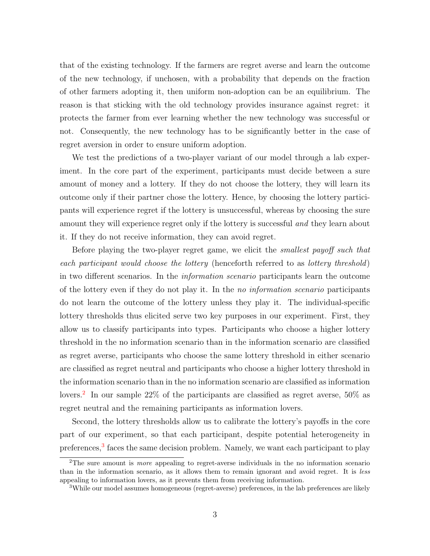that of the existing technology. If the farmers are regret averse and learn the outcome of the new technology, if unchosen, with a probability that depends on the fraction of other farmers adopting it, then uniform non-adoption can be an equilibrium. The reason is that sticking with the old technology provides insurance against regret: it protects the farmer from ever learning whether the new technology was successful or not. Consequently, the new technology has to be significantly better in the case of regret aversion in order to ensure uniform adoption.

We test the predictions of a two-player variant of our model through a lab experiment. In the core part of the experiment, participants must decide between a sure amount of money and a lottery. If they do not choose the lottery, they will learn its outcome only if their partner chose the lottery. Hence, by choosing the lottery participants will experience regret if the lottery is unsuccessful, whereas by choosing the sure amount they will experience regret only if the lottery is successful and they learn about it. If they do not receive information, they can avoid regret.

Before playing the two-player regret game, we elicit the smallest payoff such that each participant would choose the lottery (henceforth referred to as lottery threshold) in two different scenarios. In the information scenario participants learn the outcome of the lottery even if they do not play it. In the no information scenario participants do not learn the outcome of the lottery unless they play it. The individual-specific lottery thresholds thus elicited serve two key purposes in our experiment. First, they allow us to classify participants into types. Participants who choose a higher lottery threshold in the no information scenario than in the information scenario are classified as regret averse, participants who choose the same lottery threshold in either scenario are classified as regret neutral and participants who choose a higher lottery threshold in the information scenario than in the no information scenario are classified as information lovers.<sup>[2](#page-4-0)</sup> In our sample 22% of the participants are classified as regret averse, 50% as regret neutral and the remaining participants as information lovers.

Second, the lottery thresholds allow us to calibrate the lottery's payoffs in the core part of our experiment, so that each participant, despite potential heterogeneity in preferences,<sup>[3](#page-4-1)</sup> faces the same decision problem. Namely, we want each participant to play

<span id="page-4-0"></span><sup>&</sup>lt;sup>2</sup>The sure amount is *more* appealing to regret-averse individuals in the no information scenario than in the information scenario, as it allows them to remain ignorant and avoid regret. It is less appealing to information lovers, as it prevents them from receiving information.

<span id="page-4-1"></span><sup>3</sup>While our model assumes homogeneous (regret-averse) preferences, in the lab preferences are likely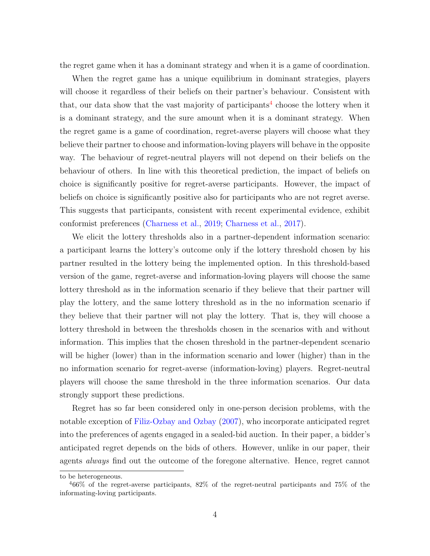the regret game when it has a dominant strategy and when it is a game of coordination.

When the regret game has a unique equilibrium in dominant strategies, players will choose it regardless of their beliefs on their partner's behaviour. Consistent with that, our data show that the vast majority of participants<sup>[4](#page-5-0)</sup> choose the lottery when it is a dominant strategy, and the sure amount when it is a dominant strategy. When the regret game is a game of coordination, regret-averse players will choose what they believe their partner to choose and information-loving players will behave in the opposite way. The behaviour of regret-neutral players will not depend on their beliefs on the behaviour of others. In line with this theoretical prediction, the impact of beliefs on choice is significantly positive for regret-averse participants. However, the impact of beliefs on choice is significantly positive also for participants who are not regret averse. This suggests that participants, consistent with recent experimental evidence, exhibit conformist preferences [\(Charness et al.,](#page-28-1) [2019;](#page-28-1) [Charness et al.,](#page-28-2) [2017\)](#page-28-2).

We elicit the lottery thresholds also in a partner-dependent information scenario: a participant learns the lottery's outcome only if the lottery threshold chosen by his partner resulted in the lottery being the implemented option. In this threshold-based version of the game, regret-averse and information-loving players will choose the same lottery threshold as in the information scenario if they believe that their partner will play the lottery, and the same lottery threshold as in the no information scenario if they believe that their partner will not play the lottery. That is, they will choose a lottery threshold in between the thresholds chosen in the scenarios with and without information. This implies that the chosen threshold in the partner-dependent scenario will be higher (lower) than in the information scenario and lower (higher) than in the no information scenario for regret-averse (information-loving) players. Regret-neutral players will choose the same threshold in the three information scenarios. Our data strongly support these predictions.

Regret has so far been considered only in one-person decision problems, with the notable exception of [Filiz-Ozbay and Ozbay](#page-28-3) [\(2007\)](#page-28-3), who incorporate anticipated regret into the preferences of agents engaged in a sealed-bid auction. In their paper, a bidder's anticipated regret depends on the bids of others. However, unlike in our paper, their agents always find out the outcome of the foregone alternative. Hence, regret cannot

to be heterogeneous.

<span id="page-5-0"></span><sup>4</sup>66% of the regret-averse participants, 82% of the regret-neutral participants and 75% of the informating-loving participants.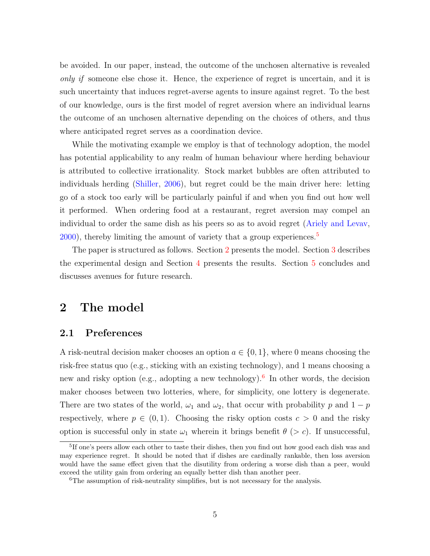be avoided. In our paper, instead, the outcome of the unchosen alternative is revealed only if someone else chose it. Hence, the experience of regret is uncertain, and it is such uncertainty that induces regret-averse agents to insure against regret. To the best of our knowledge, ours is the first model of regret aversion where an individual learns the outcome of an unchosen alternative depending on the choices of others, and thus where anticipated regret serves as a coordination device.

While the motivating example we employ is that of technology adoption, the model has potential applicability to any realm of human behaviour where herding behaviour is attributed to collective irrationality. Stock market bubbles are often attributed to individuals herding [\(Shiller,](#page-29-2) [2006\)](#page-29-2), but regret could be the main driver here: letting go of a stock too early will be particularly painful if and when you find out how well it performed. When ordering food at a restaurant, regret aversion may compel an individual to order the same dish as his peers so as to avoid regret [\(Ariely and Levav,](#page-28-0)  $2000$ , thereby limiting the amount of variety that a group experiences.<sup>[5](#page-6-0)</sup>

The paper is structured as follows. Section [2](#page-6-1) presents the model. Section [3](#page-16-0) describes the experimental design and Section [4](#page-21-0) presents the results. Section [5](#page-26-0) concludes and discusses avenues for future research.

# <span id="page-6-1"></span>2 The model

## <span id="page-6-3"></span>2.1 Preferences

A risk-neutral decision maker chooses an option  $a \in \{0, 1\}$ , where 0 means choosing the risk-free status quo (e.g., sticking with an existing technology), and 1 means choosing a new and risky option (e.g., adopting a new technology).<sup>[6](#page-6-2)</sup> In other words, the decision maker chooses between two lotteries, where, for simplicity, one lottery is degenerate. There are two states of the world,  $\omega_1$  and  $\omega_2$ , that occur with probability p and  $1 - p$ respectively, where  $p \in (0,1)$ . Choosing the risky option costs  $c > 0$  and the risky option is successful only in state  $\omega_1$  wherein it brings benefit  $\theta$  (> c). If unsuccessful,

<span id="page-6-0"></span><sup>&</sup>lt;sup>5</sup>If one's peers allow each other to taste their dishes, then you find out how good each dish was and may experience regret. It should be noted that if dishes are cardinally rankable, then loss aversion would have the same effect given that the disutility from ordering a worse dish than a peer, would exceed the utility gain from ordering an equally better dish than another peer.

<span id="page-6-2"></span><sup>&</sup>lt;sup>6</sup>The assumption of risk-neutrality simplifies, but is not necessary for the analysis.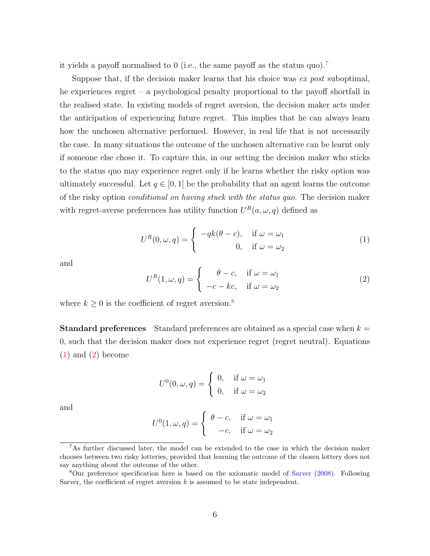it yields a payoff normalised to 0 (i.e., the same payoff as the status quo).[7](#page-7-0)

Suppose that, if the decision maker learns that his choice was ex post suboptimal, he experiences regret – a psychological penalty proportional to the payoff shortfall in the realised state. In existing models of regret aversion, the decision maker acts under the anticipation of experiencing future regret. This implies that he can always learn how the unchosen alternative performed. However, in real life that is not necessarily the case. In many situations the outcome of the unchosen alternative can be learnt only if someone else chose it. To capture this, in our setting the decision maker who sticks to the status quo may experience regret only if he learns whether the risky option was ultimately successful. Let  $q \in [0, 1]$  be the probability that an agent learns the outcome of the risky option conditional on having stuck with the status quo. The decision maker with regret-averse preferences has utility function  $U^R(a,\omega, q)$  defined as

<span id="page-7-2"></span>
$$
U^{R}(0, \omega, q) = \begin{cases} -qk(\theta - c), & \text{if } \omega = \omega_{1} \\ 0, & \text{if } \omega = \omega_{2} \end{cases}
$$
 (1)

and

<span id="page-7-3"></span>
$$
U^{R}(1, \omega, q) = \begin{cases} \theta - c, & \text{if } \omega = \omega_{1} \\ -c - kc, & \text{if } \omega = \omega_{2} \end{cases}
$$
 (2)

where  $k \geq 0$  is the coefficient of regret aversion.<sup>[8](#page-7-1)</sup>

**Standard preferences** Standard preferences are obtained as a special case when  $k =$ 0, such that the decision maker does not experience regret (regret neutral). Equations  $(1)$  and  $(2)$  become

<span id="page-7-4"></span>
$$
U^{0}(0, \omega, q) = \begin{cases} 0, & \text{if } \omega = \omega_1 \\ 0, & \text{if } \omega = \omega_2 \end{cases}
$$

and

$$
U^{0}(1, \omega, q) = \begin{cases} \theta - c, & \text{if } \omega = \omega_{1} \\ -c, & \text{if } \omega = \omega_{2} \end{cases}
$$

<span id="page-7-0"></span><sup>7</sup>As further discussed later, the model can be extended to the case in which the decision maker chooses between two risky lotteries, provided that learning the outcome of the chosen lottery does not say anything about the outcome of the other.

<span id="page-7-1"></span><sup>8</sup>Our preference specification here is based on the axiomatic model of [Sarver](#page-29-1) [\(2008\)](#page-29-1). Following Sarver, the coefficient of regret aversion  $k$  is assumed to be state independent.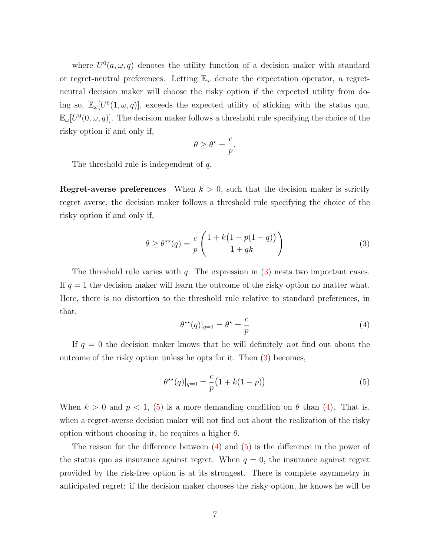where  $U^0(a,\omega,q)$  denotes the utility function of a decision maker with standard or regret-neutral preferences. Letting  $\mathbb{E}_{\omega}$  denote the expectation operator, a regretneutral decision maker will choose the risky option if the expected utility from doing so,  $\mathbb{E}_{\omega}[U^0(1,\omega,q)]$ , exceeds the expected utility of sticking with the status quo,  $\mathbb{E}_{\omega}[U^0(0,\omega,q)]$ . The decision maker follows a threshold rule specifying the choice of the risky option if and only if,

$$
\theta \ge \theta^\star = \frac{c}{p}.
$$

The threshold rule is independent of q.

**Regret-averse preferences** When  $k > 0$ , such that the decision maker is strictly regret averse, the decision maker follows a threshold rule specifying the choice of the risky option if and only if,

$$
\theta \ge \theta^{\star\star}(q) = \frac{c}{p} \left( \frac{1 + k\left(1 - p(1 - q)\right)}{1 + qk} \right) \tag{3}
$$

The threshold rule varies with  $q$ . The expression in [\(3\)](#page-7-4) nests two important cases. If  $q = 1$  the decision maker will learn the outcome of the risky option no matter what. Here, there is no distortion to the threshold rule relative to standard preferences, in that,

<span id="page-8-1"></span>
$$
\theta^{\star\star}(q)|_{q=1} = \theta^{\star} = \frac{c}{p} \tag{4}
$$

If  $q = 0$  the decision maker knows that he will definitely not find out about the outcome of the risky option unless he opts for it. Then [\(3\)](#page-7-4) becomes,

<span id="page-8-0"></span>
$$
\theta^{\star\star}(q)|_{q=0} = \frac{c}{p} \left( 1 + k(1-p) \right) \tag{5}
$$

When  $k > 0$  and  $p < 1$ , [\(5\)](#page-8-0) is a more demanding condition on  $\theta$  than [\(4\)](#page-8-1). That is, when a regret-averse decision maker will not find out about the realization of the risky option without choosing it, he requires a higher  $\theta$ .

The reason for the difference between [\(4\)](#page-8-1) and [\(5\)](#page-8-0) is the difference in the power of the status quo as insurance against regret. When  $q = 0$ , the insurance against regret provided by the risk-free option is at its strongest. There is complete asymmetry in anticipated regret: if the decision maker chooses the risky option, he knows he will be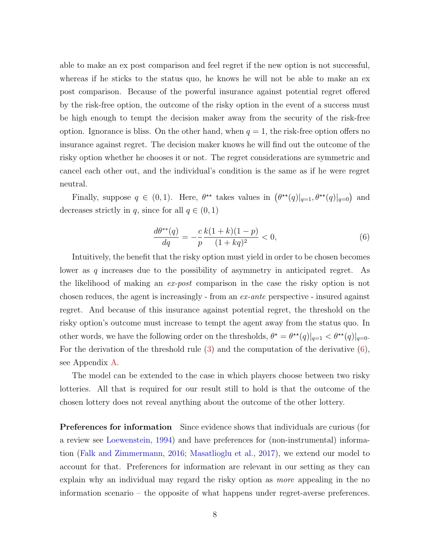able to make an ex post comparison and feel regret if the new option is not successful, whereas if he sticks to the status quo, he knows he will not be able to make an ex post comparison. Because of the powerful insurance against potential regret offered by the risk-free option, the outcome of the risky option in the event of a success must be high enough to tempt the decision maker away from the security of the risk-free option. Ignorance is bliss. On the other hand, when  $q = 1$ , the risk-free option offers no insurance against regret. The decision maker knows he will find out the outcome of the risky option whether he chooses it or not. The regret considerations are symmetric and cancel each other out, and the individual's condition is the same as if he were regret neutral.

Finally, suppose  $q \in (0,1)$ . Here,  $\theta^{\star\star}$  takes values in  $(\theta^{\star\star}(q)|_{q=1}, \theta^{\star\star}(q)|_{q=0})$  and decreases strictly in q, since for all  $q \in (0, 1)$ 

<span id="page-9-0"></span>
$$
\frac{d\theta^{**}(q)}{dq} = -\frac{c}{p} \frac{k(1+k)(1-p)}{(1+kq)^2} < 0,\tag{6}
$$

Intuitively, the benefit that the risky option must yield in order to be chosen becomes lower as q increases due to the possibility of asymmetry in anticipated regret. As the likelihood of making an ex-post comparison in the case the risky option is not chosen reduces, the agent is increasingly - from an ex-ante perspective - insured against regret. And because of this insurance against potential regret, the threshold on the risky option's outcome must increase to tempt the agent away from the status quo. In other words, we have the following order on the thresholds,  $\theta^* = \theta^{**}(q)|_{q=1} < \theta^{**}(q)|_{q=0}$ . For the derivation of the threshold rule  $(3)$  and the computation of the derivative  $(6)$ , see Appendix [A.](#page-30-0)

The model can be extended to the case in which players choose between two risky lotteries. All that is required for our result still to hold is that the outcome of the chosen lottery does not reveal anything about the outcome of the other lottery.

Preferences for information Since evidence shows that individuals are curious (for a review see [Loewenstein,](#page-29-3) [1994\)](#page-29-3) and have preferences for (non-instrumental) information [\(Falk and Zimmermann,](#page-28-4) [2016;](#page-28-4) [Masatlioglu et al.,](#page-29-4) [2017\)](#page-29-4), we extend our model to account for that. Preferences for information are relevant in our setting as they can explain why an individual may regard the risky option as more appealing in the no information scenario – the opposite of what happens under regret-averse preferences.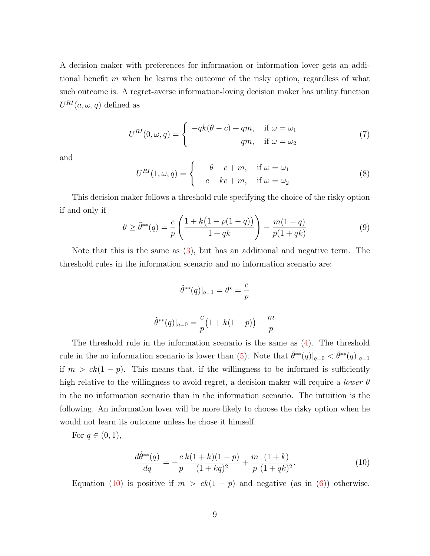A decision maker with preferences for information or information lover gets an additional benefit  $m$  when he learns the outcome of the risky option, regardless of what such outcome is. A regret-averse information-loving decision maker has utility function  $U^{RI}(a,\omega,q)$  defined as

$$
U^{RI}(0,\omega,q) = \begin{cases} -qk(\theta - c) + qm, & \text{if } \omega = \omega_1 \\ qm, & \text{if } \omega = \omega_2 \end{cases}
$$
 (7)

and

$$
U^{RI}(1,\omega,q) = \begin{cases} \theta - c + m, & \text{if } \omega = \omega_1 \\ -c - kc + m, & \text{if } \omega = \omega_2 \end{cases}
$$
 (8)

This decision maker follows a threshold rule specifying the choice of the risky option if and only if

<span id="page-10-1"></span>
$$
\theta \ge \tilde{\theta}^{**}(q) = \frac{c}{p} \left( \frac{1 + k(1 - p(1 - q))}{1 + qk} \right) - \frac{m(1 - q)}{p(1 + qk)} \tag{9}
$$

Note that this is the same as [\(3\)](#page-7-4), but has an additional and negative term. The threshold rules in the information scenario and no information scenario are:

<span id="page-10-0"></span>
$$
\tilde{\theta}^{**}(q)|_{q=1} = \theta^* = \frac{c}{p}
$$

$$
\tilde{\theta}^{**}(q)|_{q=0} = \frac{c}{p} \left(1 + k(1-p)\right) - \frac{m}{p}
$$

The threshold rule in the information scenario is the same as [\(4\)](#page-8-1). The threshold rule in the no information scenario is lower than [\(5\)](#page-8-0). Note that  $\tilde{\theta}^{**}(q)|_{q=0} < \tilde{\theta}^{**}(q)|_{q=1}$ if  $m > ck(1 - p)$ . This means that, if the willingness to be informed is sufficiently high relative to the willingness to avoid regret, a decision maker will require a *lower*  $\theta$ in the no information scenario than in the information scenario. The intuition is the following. An information lover will be more likely to choose the risky option when he would not learn its outcome unless he chose it himself.

For  $q \in (0, 1)$ ,

$$
\frac{d\tilde{\theta}^{**}(q)}{dq} = -\frac{c}{p} \frac{k(1+k)(1-p)}{(1+kq)^2} + \frac{m}{p} \frac{(1+k)}{(1+qk)^2}.
$$
\n(10)

Equation [\(10\)](#page-10-0) is positive if  $m > ck(1 - p)$  and negative (as in [\(6\)](#page-9-0)) otherwise.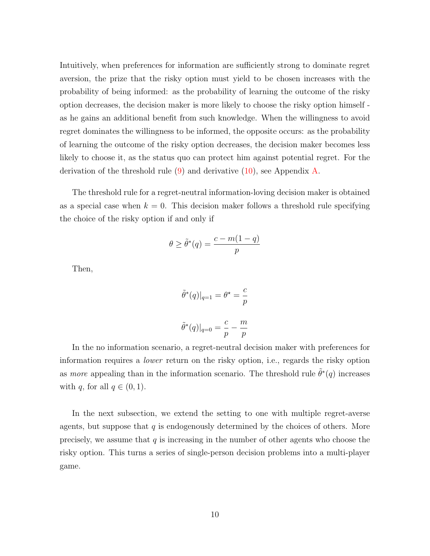Intuitively, when preferences for information are sufficiently strong to dominate regret aversion, the prize that the risky option must yield to be chosen increases with the probability of being informed: as the probability of learning the outcome of the risky option decreases, the decision maker is more likely to choose the risky option himself as he gains an additional benefit from such knowledge. When the willingness to avoid regret dominates the willingness to be informed, the opposite occurs: as the probability of learning the outcome of the risky option decreases, the decision maker becomes less likely to choose it, as the status quo can protect him against potential regret. For the derivation of the threshold rule  $(9)$  and derivative  $(10)$ , see Appendix [A.](#page-30-0)

The threshold rule for a regret-neutral information-loving decision maker is obtained as a special case when  $k = 0$ . This decision maker follows a threshold rule specifying the choice of the risky option if and only if

<span id="page-11-0"></span>
$$
\theta \ge \tilde{\theta}^*(q) = \frac{c - m(1 - q)}{p}
$$

Then,

$$
\tilde{\theta}^*(q)|_{q=1} = \theta^* = \frac{c}{p}
$$

$$
\tilde{\theta}^*(q)|_{q=0} = \frac{c}{p} - \frac{m}{p}
$$

In the no information scenario, a regret-neutral decision maker with preferences for information requires a lower return on the risky option, i.e., regards the risky option as *more* appealing than in the information scenario. The threshold rule  $\tilde{\theta}^*(q)$  increases with q, for all  $q \in (0, 1)$ .

In the next subsection, we extend the setting to one with multiple regret-averse agents, but suppose that  $q$  is endogenously determined by the choices of others. More precisely, we assume that  $q$  is increasing in the number of other agents who choose the risky option. This turns a series of single-person decision problems into a multi-player game.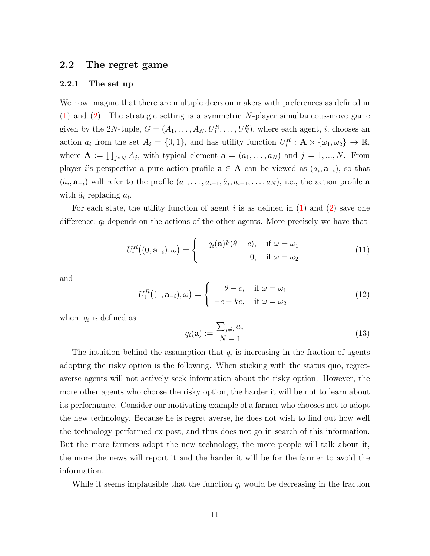### 2.2 The regret game

#### 2.2.1 The set up

We now imagine that there are multiple decision makers with preferences as defined in [\(1\)](#page-7-2) and [\(2\)](#page-7-3). The strategic setting is a symmetric N-player simultaneous-move game given by the 2N-tuple,  $G = (A_1, \ldots, A_N, U_1^R, \ldots, U_N^R)$ , where each agent, *i*, chooses an action  $a_i$  from the set  $A_i = \{0, 1\}$ , and has utility function  $U_i^R : \mathbf{A} \times {\{\omega_1, \omega_2\}} \to \mathbb{R}$ , where  $\mathbf{A} := \prod_{j \in \mathcal{N}} A_j$ , with typical element  $\mathbf{a} = (a_1, \ldots, a_N)$  and  $j = 1, \ldots, N$ . From player i's perspective a pure action profile  $\mathbf{a} \in \mathbf{A}$  can be viewed as  $(a_i, \mathbf{a}_{-i})$ , so that  $(\hat{a}_i, \mathbf{a}_{-i})$  will refer to the profile  $(a_1, \ldots, a_{i-1}, \hat{a}_i, a_{i+1}, \ldots, a_N)$ , i.e., the action profile **a** with  $\hat{a}_i$  replacing  $a_i$ .

For each state, the utility function of agent i is as defined in  $(1)$  and  $(2)$  save one difference:  $q_i$  depends on the actions of the other agents. More precisely we have that

$$
U_i^R((0, \mathbf{a}_{-i}), \omega) = \begin{cases} -q_i(\mathbf{a})k(\theta - c), & \text{if } \omega = \omega_1 \\ 0, & \text{if } \omega = \omega_2 \end{cases}
$$
(11)

and

<span id="page-12-0"></span>
$$
U_i^R((1, \mathbf{a}_{-i}), \omega) = \begin{cases} \theta - c, & \text{if } \omega = \omega_1 \\ -c - kc, & \text{if } \omega = \omega_2 \end{cases}
$$
(12)

where  $q_i$  is defined as

<span id="page-12-1"></span>
$$
q_i(\mathbf{a}) := \frac{\sum_{j \neq i} a_j}{N - 1} \tag{13}
$$

The intuition behind the assumption that  $q_i$  is increasing in the fraction of agents adopting the risky option is the following. When sticking with the status quo, regretaverse agents will not actively seek information about the risky option. However, the more other agents who choose the risky option, the harder it will be not to learn about its performance. Consider our motivating example of a farmer who chooses not to adopt the new technology. Because he is regret averse, he does not wish to find out how well the technology performed ex post, and thus does not go in search of this information. But the more farmers adopt the new technology, the more people will talk about it, the more the news will report it and the harder it will be for the farmer to avoid the information.

While it seems implausible that the function  $q_i$  would be decreasing in the fraction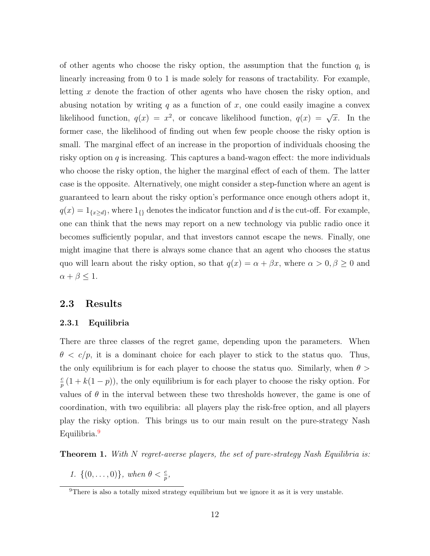of other agents who choose the risky option, the assumption that the function  $q_i$  is linearly increasing from 0 to 1 is made solely for reasons of tractability. For example, letting x denote the fraction of other agents who have chosen the risky option, and abusing notation by writing q as a function of x, one could easily imagine a convex likelihood function,  $q(x) = x^2$ , or concave likelihood function,  $q(x) = \sqrt{x}$ . In the former case, the likelihood of finding out when few people choose the risky option is small. The marginal effect of an increase in the proportion of individuals choosing the risky option on  $q$  is increasing. This captures a band-wagon effect: the more individuals who choose the risky option, the higher the marginal effect of each of them. The latter case is the opposite. Alternatively, one might consider a step-function where an agent is guaranteed to learn about the risky option's performance once enough others adopt it,  $q(x) = 1_{\{x \ge d\}}$ , where  $1_{\{\} }$  denotes the indicator function and d is the cut-off. For example, one can think that the news may report on a new technology via public radio once it becomes sufficiently popular, and that investors cannot escape the news. Finally, one might imagine that there is always some chance that an agent who chooses the status quo will learn about the risky option, so that  $q(x) = \alpha + \beta x$ , where  $\alpha > 0, \beta \ge 0$  and  $\alpha + \beta \leq 1.$ 

### 2.3 Results

#### 2.3.1 Equilibria

There are three classes of the regret game, depending upon the parameters. When  $\theta < c/p$ , it is a dominant choice for each player to stick to the status quo. Thus, the only equilibrium is for each player to choose the status quo. Similarly, when  $\theta >$ c  $\frac{p}{p}(1 + k(1-p))$ , the only equilibrium is for each player to choose the risky option. For values of  $\theta$  in the interval between these two thresholds however, the game is one of coordination, with two equilibria: all players play the risk-free option, and all players play the risky option. This brings us to our main result on the pure-strategy Nash Equilibria.<sup>[9](#page-13-0)</sup>

<span id="page-13-2"></span><span id="page-13-1"></span>**Theorem 1.** With N regret-averse players, the set of pure-strategy Nash Equilibria is:

1.  $\{(0, \ldots, 0)\},$  when  $\theta < \frac{c}{p}$ ,

<span id="page-13-0"></span><sup>&</sup>lt;sup>9</sup>There is also a totally mixed strategy equilibrium but we ignore it as it is very unstable.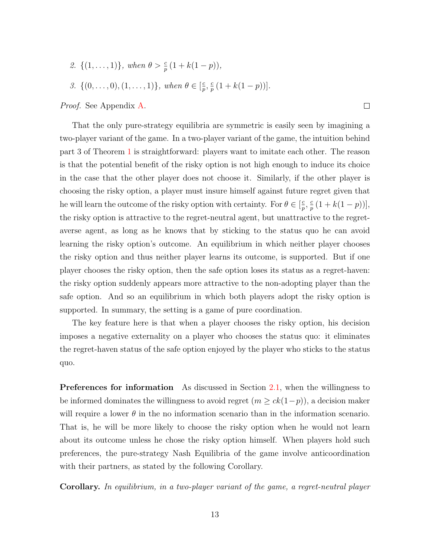- <span id="page-14-0"></span>2.  $\{(1,\ldots,1)\}\$ , when  $\theta > \frac{c}{p}(1 + k(1-p))\$ ,
- <span id="page-14-1"></span>3.  $\{(0, \ldots, 0), (1, \ldots, 1)\},$  when  $\theta \in [\frac{c}{n}]$  $\frac{c}{p}, \frac{c}{p}$  $\frac{c}{p}(1 + k(1-p))$ .

Proof. See Appendix [A.](#page-30-0)

That the only pure-strategy equilibria are symmetric is easily seen by imagining a two-player variant of the game. In a two-player variant of the game, the intuition behind part 3 of Theorem [1](#page-13-1) is straightforward: players want to imitate each other. The reason is that the potential benefit of the risky option is not high enough to induce its choice in the case that the other player does not choose it. Similarly, if the other player is choosing the risky option, a player must insure himself against future regret given that he will learn the outcome of the risky option with certainty. For  $\theta \in \left[\frac{c}{n}\right]$  $\frac{c}{p}$ ,  $\frac{c}{p}$  $\frac{c}{p}(1 + k(1-p))$ , the risky option is attractive to the regret-neutral agent, but unattractive to the regretaverse agent, as long as he knows that by sticking to the status quo he can avoid learning the risky option's outcome. An equilibrium in which neither player chooses the risky option and thus neither player learns its outcome, is supported. But if one player chooses the risky option, then the safe option loses its status as a regret-haven: the risky option suddenly appears more attractive to the non-adopting player than the safe option. And so an equilibrium in which both players adopt the risky option is supported. In summary, the setting is a game of pure coordination.

 $\Box$ 

The key feature here is that when a player chooses the risky option, his decision imposes a negative externality on a player who chooses the status quo: it eliminates the regret-haven status of the safe option enjoyed by the player who sticks to the status quo.

Preferences for information As discussed in Section [2.1,](#page-6-3) when the willingness to be informed dominates the willingness to avoid regret  $(m \ge ck(1-p))$ , a decision maker will require a lower  $\theta$  in the no information scenario than in the information scenario. That is, he will be more likely to choose the risky option when he would not learn about its outcome unless he chose the risky option himself. When players hold such preferences, the pure-strategy Nash Equilibria of the game involve anticoordination with their partners, as stated by the following Corollary.

Corollary. In equilibrium, in a two-player variant of the game, a regret-neutral player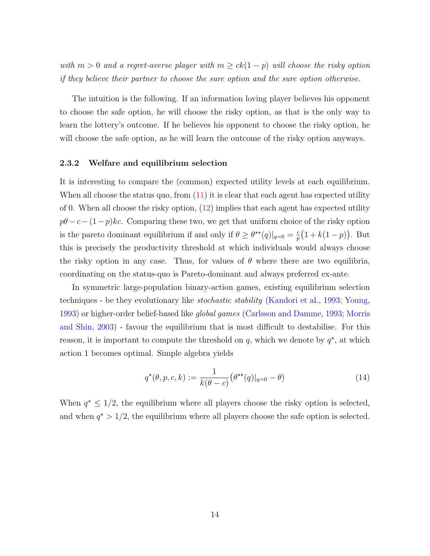with  $m > 0$  and a regret-averse player with  $m \geq ck(1-p)$  will choose the risky option if they believe their partner to choose the sure option and the sure option otherwise.

The intuition is the following. If an information loving player believes his opponent to choose the safe option, he will choose the risky option, as that is the only way to learn the lottery's outcome. If he believes his opponent to choose the risky option, he will choose the safe option, as he will learn the outcome of the risky option anyways.

#### 2.3.2 Welfare and equilibrium selection

It is interesting to compare the (common) expected utility levels at each equilibrium. When all choose the status quo, from  $(11)$  it is clear that each agent has expected utility of 0. When all choose the risky option, [\(12\)](#page-12-0) implies that each agent has expected utility  $p\theta$  −  $c-(1-p)kc$ . Comparing these two, we get that uniform choice of the risky option is the pareto dominant equilibrium if and only if  $\theta \geq \theta^{\star\star}(q)|_{q=0} = \frac{c}{n}$  $\frac{c}{p}(1 + k(1-p)).$  But this is precisely the productivity threshold at which individuals would always choose the risky option in any case. Thus, for values of  $\theta$  where there are two equilibria, coordinating on the status-quo is Pareto-dominant and always preferred ex-ante.

In symmetric large-population binary-action games, existing equilibrium selection techniques - be they evolutionary like stochastic stability [\(Kandori et al.,](#page-29-5) [1993;](#page-29-5) [Young,](#page-29-6) [1993\)](#page-29-6) or higher-order belief-based like *global games* [\(Carlsson and Damme,](#page-28-5) [1993;](#page-28-5) [Morris](#page-29-7) [and Shin,](#page-29-7) [2003\)](#page-29-7) - favour the equilibrium that is most difficult to destabilise. For this reason, it is important to compute the threshold on q, which we denote by  $q^*$ , at which action 1 becomes optimal. Simple algebra yields

$$
q^{\star}(\theta, p, c, k) := \frac{1}{k(\theta - c)} (\theta^{\star \star}(q)|_{q=0} - \theta)
$$
\n(14)

When  $q^* \leq 1/2$ , the equilibrium where all players choose the risky option is selected, and when  $q^* > 1/2$ , the equilibrium where all players choose the safe option is selected.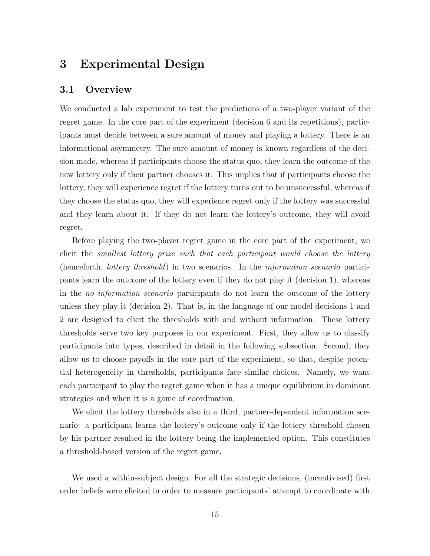# <span id="page-16-0"></span>3 Experimental Design

## 3.1 Overview

We conducted a lab experiment to test the predictions of a two-player variant of the regret game. In the core part of the experiment (decision 6 and its repetitions), participants must decide between a sure amount of money and playing a lottery. There is an informational asymmetry. The sure amount of money is known regardless of the decision made, whereas if participants choose the status quo, they learn the outcome of the new lottery only if their partner chooses it. This implies that if participants choose the lottery, they will experience regret if the lottery turns out to be unsuccessful, whereas if they choose the status quo, they will experience regret only if the lottery was successful and they learn about it. If they do not learn the lottery's outcome, they will avoid regret.

Before playing the two-player regret game in the core part of the experiment, we elicit the smallest lottery prize such that each participant would choose the lottery (henceforth, lottery threshold) in two scenarios. In the information scenario participants learn the outcome of the lottery even if they do not play it (decision 1), whereas in the no information scenario participants do not learn the outcome of the lottery unless they play it (decision 2). That is, in the language of our model decisions 1 and 2 are designed to elicit the thresholds with and without information. These lottery thresholds serve two key purposes in our experiment. First, they allow us to classify participants into types, described in detail in the following subsection. Second, they allow us to choose payoffs in the core part of the experiment, so that, despite potential heterogeneity in thresholds, participants face similar choices. Namely, we want each participant to play the regret game when it has a unique equilibrium in dominant strategies and when it is a game of coordination.

We elicit the lottery thresholds also in a third, partner-dependent information scenario: a participant learns the lottery's outcome only if the lottery threshold chosen by his partner resulted in the lottery being the implemented option. This constitutes a threshold-based version of the regret game.

We used a within-subject design. For all the strategic decisions, (incentivised) first order beliefs were elicited in order to measure participants' attempt to coordinate with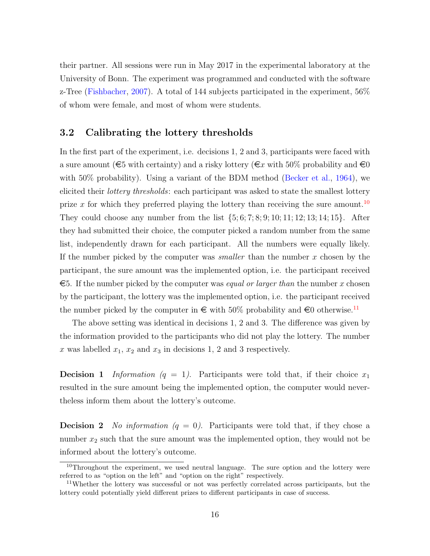their partner. All sessions were run in May 2017 in the experimental laboratory at the University of Bonn. The experiment was programmed and conducted with the software z-Tree [\(Fishbacher,](#page-28-6) [2007\)](#page-28-6). A total of 144 subjects participated in the experiment, 56% of whom were female, and most of whom were students.

# 3.2 Calibrating the lottery thresholds

In the first part of the experiment, i.e. decisions 1, 2 and 3, participants were faced with a sure amount ( $\epsilon$ 5 with certainty) and a risky lottery ( $\epsilon x$  with 50% probability and  $\epsilon$ 0 with  $50\%$  probability). Using a variant of the BDM method [\(Becker et al.,](#page-28-7) [1964\)](#page-28-7), we elicited their *lottery thresholds*: each participant was asked to state the smallest lottery prize x for which they preferred playing the lottery than receiving the sure amount.<sup>[10](#page-17-0)</sup> They could choose any number from the list  $\{5, 6, 7, 8, 9, 10, 11, 12, 13, 14, 15\}$ . After they had submitted their choice, the computer picked a random number from the same list, independently drawn for each participant. All the numbers were equally likely. If the number picked by the computer was *smaller* than the number  $x$  chosen by the participant, the sure amount was the implemented option, i.e. the participant received  $\epsilon$ 5. If the number picked by the computer was *equal or larger than* the number x chosen by the participant, the lottery was the implemented option, i.e. the participant received the number picked by the computer in  $\epsilon$  with 50% probability and  $\epsilon$ 0 otherwise.<sup>[11](#page-17-1)</sup>

The above setting was identical in decisions 1, 2 and 3. The difference was given by the information provided to the participants who did not play the lottery. The number x was labelled  $x_1, x_2$  and  $x_3$  in decisions 1, 2 and 3 respectively.

**Decision 1** Information  $(q = 1)$ . Participants were told that, if their choice  $x_1$ resulted in the sure amount being the implemented option, the computer would nevertheless inform them about the lottery's outcome.

**Decision 2** No information  $(q = 0)$ . Participants were told that, if they chose a number  $x_2$  such that the sure amount was the implemented option, they would not be informed about the lottery's outcome.

<span id="page-17-0"></span><sup>&</sup>lt;sup>10</sup>Throughout the experiment, we used neutral language. The sure option and the lottery were referred to as "option on the left" and "option on the right" respectively.

<span id="page-17-1"></span><sup>&</sup>lt;sup>11</sup>Whether the lottery was successful or not was perfectly correlated across participants, but the lottery could potentially yield different prizes to different participants in case of success.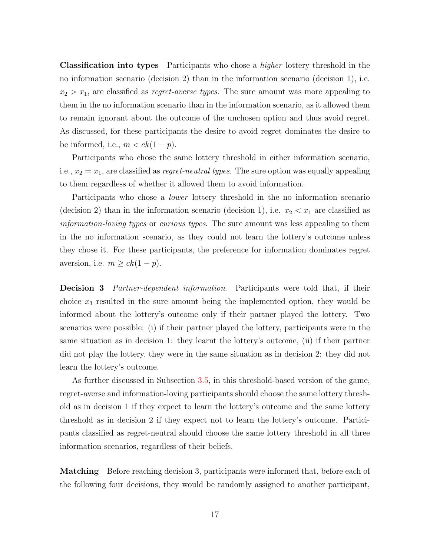Classification into types Participants who chose a higher lottery threshold in the no information scenario (decision 2) than in the information scenario (decision 1), i.e.  $x_2 > x_1$ , are classified as *regret-averse types*. The sure amount was more appealing to them in the no information scenario than in the information scenario, as it allowed them to remain ignorant about the outcome of the unchosen option and thus avoid regret. As discussed, for these participants the desire to avoid regret dominates the desire to be informed, i.e.,  $m < ck(1-p)$ .

Participants who chose the same lottery threshold in either information scenario, i.e.,  $x_2 = x_1$ , are classified as *regret-neutral types*. The sure option was equally appealing to them regardless of whether it allowed them to avoid information.

Participants who chose a lower lottery threshold in the no information scenario (decision 2) than in the information scenario (decision 1), i.e.  $x_2 < x_1$  are classified as information-loving types or curious types. The sure amount was less appealing to them in the no information scenario, as they could not learn the lottery's outcome unless they chose it. For these participants, the preference for information dominates regret aversion, i.e.  $m \ge ck(1-p)$ .

**Decision 3** Partner-dependent information. Participants were told that, if their choice  $x_3$  resulted in the sure amount being the implemented option, they would be informed about the lottery's outcome only if their partner played the lottery. Two scenarios were possible: (i) if their partner played the lottery, participants were in the same situation as in decision 1: they learnt the lottery's outcome, (ii) if their partner did not play the lottery, they were in the same situation as in decision 2: they did not learn the lottery's outcome.

As further discussed in Subsection [3.5,](#page-20-0) in this threshold-based version of the game, regret-averse and information-loving participants should choose the same lottery threshold as in decision 1 if they expect to learn the lottery's outcome and the same lottery threshold as in decision 2 if they expect not to learn the lottery's outcome. Participants classified as regret-neutral should choose the same lottery threshold in all three information scenarios, regardless of their beliefs.

Matching Before reaching decision 3, participants were informed that, before each of the following four decisions, they would be randomly assigned to another participant,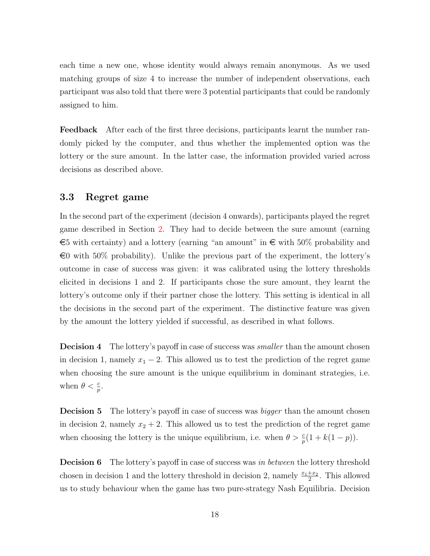each time a new one, whose identity would always remain anonymous. As we used matching groups of size 4 to increase the number of independent observations, each participant was also told that there were 3 potential participants that could be randomly assigned to him.

Feedback After each of the first three decisions, participants learnt the number randomly picked by the computer, and thus whether the implemented option was the lottery or the sure amount. In the latter case, the information provided varied across decisions as described above.

### 3.3 Regret game

In the second part of the experiment (decision 4 onwards), participants played the regret game described in Section [2.](#page-6-1) They had to decide between the sure amount (earning  $\epsilon$ 5 with certainty) and a lottery (earning "an amount" in  $\epsilon$  with 50% probability and  $\epsilon$ 0 with 50% probability). Unlike the previous part of the experiment, the lottery's outcome in case of success was given: it was calibrated using the lottery thresholds elicited in decisions 1 and 2. If participants chose the sure amount, they learnt the lottery's outcome only if their partner chose the lottery. This setting is identical in all the decisions in the second part of the experiment. The distinctive feature was given by the amount the lottery yielded if successful, as described in what follows.

**Decision 4** The lottery's payoff in case of success was *smaller* than the amount chosen in decision 1, namely  $x_1 - 2$ . This allowed us to test the prediction of the regret game when choosing the sure amount is the unique equilibrium in dominant strategies, i.e. when  $\theta < \frac{c}{p}$ .

**Decision 5** The lottery's payoff in case of success was *bigger* than the amount chosen in decision 2, namely  $x_2 + 2$ . This allowed us to test the prediction of the regret game when choosing the lottery is the unique equilibrium, i.e. when  $\theta > \frac{c}{p}(1 + k(1 - p)).$ 

**Decision 6** The lottery's payoff in case of success was in between the lottery threshold chosen in decision 1 and the lottery threshold in decision 2, namely  $\frac{x_1+x_2}{2}$ . This allowed us to study behaviour when the game has two pure-strategy Nash Equilibria. Decision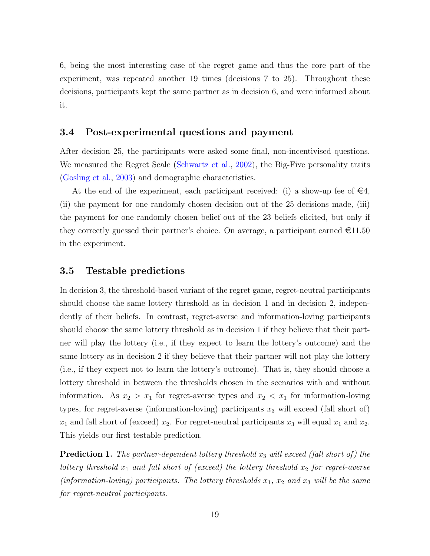6, being the most interesting case of the regret game and thus the core part of the experiment, was repeated another 19 times (decisions 7 to 25). Throughout these decisions, participants kept the same partner as in decision 6, and were informed about it.

## 3.4 Post-experimental questions and payment

After decision 25, the participants were asked some final, non-incentivised questions. We measured the Regret Scale [\(Schwartz et al.,](#page-29-8) [2002\)](#page-29-8), the Big-Five personality traits [\(Gosling et al.,](#page-29-9) [2003\)](#page-29-9) and demographic characteristics.

At the end of the experiment, each participant received: (i) a show-up fee of  $\epsilon 4$ , (ii) the payment for one randomly chosen decision out of the 25 decisions made, (iii) the payment for one randomly chosen belief out of the 23 beliefs elicited, but only if they correctly guessed their partner's choice. On average, a participant earned  $\epsilon$ 11.50 in the experiment.

### <span id="page-20-0"></span>3.5 Testable predictions

In decision 3, the threshold-based variant of the regret game, regret-neutral participants should choose the same lottery threshold as in decision 1 and in decision 2, independently of their beliefs. In contrast, regret-averse and information-loving participants should choose the same lottery threshold as in decision 1 if they believe that their partner will play the lottery (i.e., if they expect to learn the lottery's outcome) and the same lottery as in decision 2 if they believe that their partner will not play the lottery (i.e., if they expect not to learn the lottery's outcome). That is, they should choose a lottery threshold in between the thresholds chosen in the scenarios with and without information. As  $x_2 > x_1$  for regret-averse types and  $x_2 < x_1$  for information-loving types, for regret-averse (information-loving) participants  $x_3$  will exceed (fall short of)  $x_1$  and fall short of (exceed)  $x_2$ . For regret-neutral participants  $x_3$  will equal  $x_1$  and  $x_2$ . This yields our first testable prediction.

<span id="page-20-1"></span>**Prediction 1.** The partner-dependent lottery threshold  $x_3$  will exceed (fall short of) the lottery threshold  $x_1$  and fall short of (exceed) the lottery threshold  $x_2$  for regret-averse (information-loving) participants. The lottery thresholds  $x_1$ ,  $x_2$  and  $x_3$  will be the same for regret-neutral participants.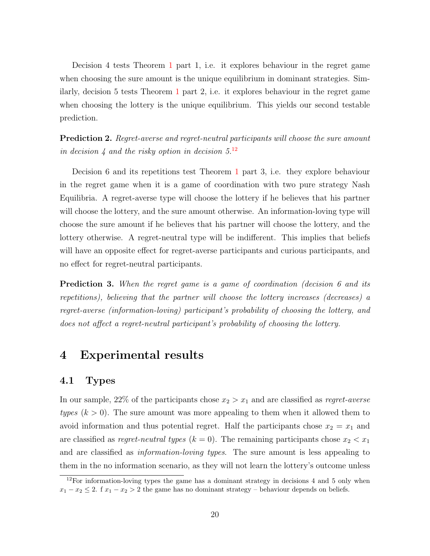Decision 4 tests Theorem [1](#page-13-1) part 1, i.e. it explores behaviour in the regret game when choosing the sure amount is the unique equilibrium in dominant strategies. Similarly, decision 5 tests Theorem [1](#page-13-1) part 2, i.e. it explores behaviour in the regret game when choosing the lottery is the unique equilibrium. This yields our second testable prediction.

<span id="page-21-2"></span>**Prediction 2.** Regret-averse and regret-neutral participants will choose the sure amount in decision 4 and the risky option in decision  $5^{12}$  $5^{12}$  $5^{12}$ 

Decision 6 and its repetitions test Theorem [1](#page-13-1) part 3, i.e. they explore behaviour in the regret game when it is a game of coordination with two pure strategy Nash Equilibria. A regret-averse type will choose the lottery if he believes that his partner will choose the lottery, and the sure amount otherwise. An information-loving type will choose the sure amount if he believes that his partner will choose the lottery, and the lottery otherwise. A regret-neutral type will be indifferent. This implies that beliefs will have an opposite effect for regret-averse participants and curious participants, and no effect for regret-neutral participants.

<span id="page-21-3"></span>**Prediction 3.** When the regret game is a game of coordination (decision 6 and its repetitions), believing that the partner will choose the lottery increases (decreases) a regret-averse (information-loving) participant's probability of choosing the lottery, and does not affect a regret-neutral participant's probability of choosing the lottery.

# <span id="page-21-0"></span>4 Experimental results

#### 4.1 Types

In our sample, 22% of the participants chose  $x_2 > x_1$  and are classified as *regret-averse* types  $(k > 0)$ . The sure amount was more appealing to them when it allowed them to avoid information and thus potential regret. Half the participants chose  $x_2 = x_1$  and are classified as *regret-neutral types* ( $k = 0$ ). The remaining participants chose  $x_2 < x_1$ and are classified as information-loving types. The sure amount is less appealing to them in the no information scenario, as they will not learn the lottery's outcome unless

<span id="page-21-1"></span> $12$ For information-loving types the game has a dominant strategy in decisions 4 and 5 only when  $x_1 - x_2 \leq 2$ . f  $x_1 - x_2 > 2$  the game has no dominant strategy – behaviour depends on beliefs.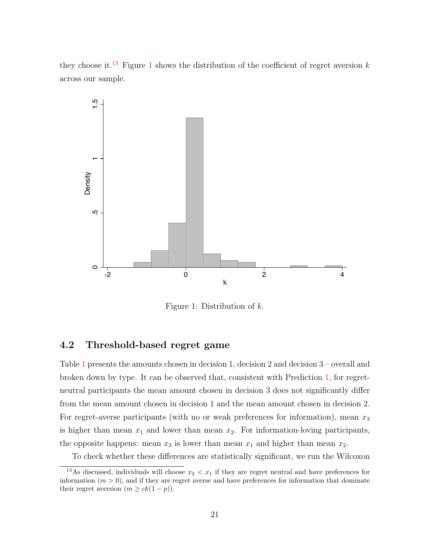they choose it.<sup>[13](#page-22-0)</sup> Figure [1](#page-22-1) shows the distribution of the coefficient of regret aversion k across our sample.

<span id="page-22-1"></span>

Figure 1: Distribution of k.

# 4.2 Threshold-based regret game

Table [1](#page-23-0) presents the amounts chosen in decision 1, decision 2 and decision 3 – overall and broken down by type. It can be observed that, consistent with Prediction [1,](#page-20-1) for regretneutral participants the mean amount chosen in decision 3 does not significantly differ from the mean amount chosen in decision 1 and the mean amount chosen in decision 2. For regret-averse participants (with no or weak preferences for information), mean  $x_3$ is higher than mean  $x_1$  and lower than mean  $x_2$ . For information-loving participants, the opposite happens: mean  $x_3$  is lower than mean  $x_1$  and higher than mean  $x_2$ .

<span id="page-22-0"></span>To check whether these differences are statistically significant, we run the Wilcoxon

<sup>&</sup>lt;sup>13</sup>As discussed, individuals will choose  $x_2 < x_1$  if they are regret neutral and have preferences for information  $(m > 0)$ , and if they are regret averse and have preferences for information that dominate their regret aversion  $(m \geq ck(1-p)).$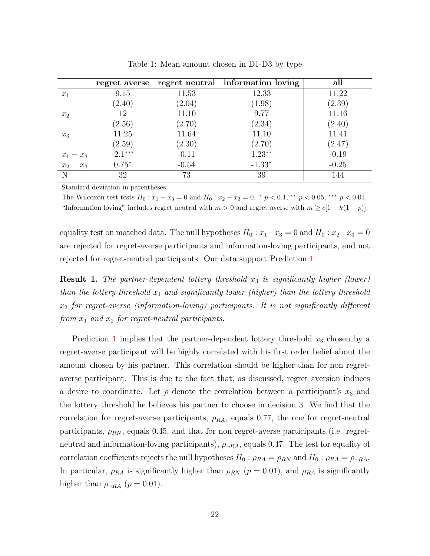<span id="page-23-0"></span>

|                                                         |           |         | regret averse regret neutral information loving | all     |
|---------------------------------------------------------|-----------|---------|-------------------------------------------------|---------|
| $x_1$                                                   | 9.15      | 11.53   | 12.33                                           | 11.22   |
|                                                         | (2.40)    | (2.04)  | (1.98)                                          | (2.39)  |
| $x_2$                                                   | 12        | 11.10   | 9.77                                            | 11.16   |
|                                                         | (2.56)    | (2.70)  | (2.34)                                          | (2.40)  |
| $x_3$                                                   | 11.25     | 11.64   | 11.10                                           | 11.41   |
|                                                         | (2.59)    | (2.30)  | (2.70)                                          | (2.47)  |
|                                                         | $-2.1***$ | $-0.11$ | $1.23**$                                        | $-0.19$ |
| $\begin{array}{c}\nx_1 - x_3 \\ x_2 - x_3\n\end{array}$ | $0.75*$   | $-0.54$ | $-1.33*$                                        | $-0.25$ |
| N                                                       | 32        | 73      | 39                                              | 144     |

Table 1: Mean amount chosen in D1-D3 by type

Standard deviation in parentheses.

The Wilcoxon test tests  $H_0: x_1 - x_3 = 0$  and  $H_0: x_2 - x_3 = 0$ . \*  $p < 0.1$ , \*\*  $p < 0.05$ , \*\*\*  $p < 0.01$ . "Information loving" includes regret neutral with  $m > 0$  and regret averse with  $m \ge c[1 + k(1 - p)].$ 

equality test on matched data. The null hypotheses  $H_0: x_1-x_3 = 0$  and  $H_0: x_2-x_3 = 0$ are rejected for regret-averse participants and information-loving participants, and not rejected for regret-neutral participants. Our data support Prediction [1.](#page-20-1)

**Result 1.** The partner-dependent lottery threshold  $x_3$  is significantly higher (lower) than the lottery threshold  $x_1$  and significantly lower (higher) than the lottery threshold  $x_2$  for regret-averse (information-loving) participants. It is not significantly different from  $x_1$  and  $x_2$  for regret-neutral participants.

Prediction [1](#page-20-1) implies that the partner-dependent lottery threshold  $x_3$  chosen by a regret-averse participant will be highly correlated with his first order belief about the amount chosen by his partner. This correlation should be higher than for non regretaverse participant. This is due to the fact that, as discussed, regret aversion induces a desire to coordinate. Let  $\rho$  denote the correlation between a participant's  $x_3$  and the lottery threshold he believes his partner to choose in decision 3. We find that the correlation for regret-averse participants,  $\rho_{RA}$ , equals 0.77, the one for regret-neutral participants,  $\rho_{RN}$ , equals 0.45, and that for non regret-averse participants (i.e. regretneutral and information-loving participants),  $\rho_{-RA}$ , equals 0.47. The test for equality of correlation coefficients rejects the null hypotheses  $H_0: \rho_{RA} = \rho_{RN}$  and  $H_0: \rho_{RA} = \rho_{\neg RA}$ . In particular,  $\rho_{RA}$  is significantly higher than  $\rho_{RN}$  ( $p = 0.01$ ), and  $\rho_{RA}$  is significantly higher than  $\rho_{\neg RA}$  ( $p = 0.01$ ).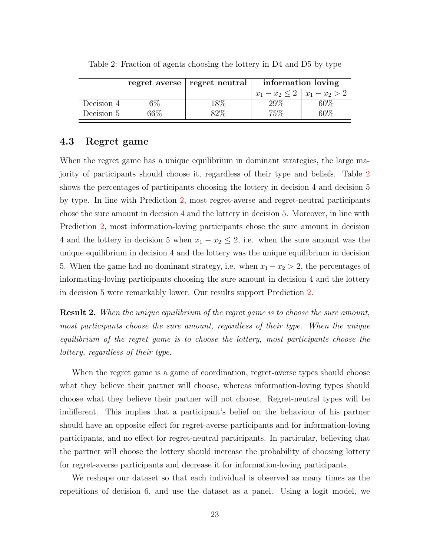|            |        | regret averse   regret neutral | information loving             |     |
|------------|--------|--------------------------------|--------------------------------|-----|
|            |        |                                | $x_1-x_2 \leq 2   x_1-x_2 > 2$ |     |
| Decision 4 |        | 18%                            | $29\%$                         | 60% |
| Decision 5 | $66\%$ | 82%                            | 75%                            | 60% |

<span id="page-24-0"></span>Table 2: Fraction of agents choosing the lottery in D4 and D5 by type

### 4.3 Regret game

When the regret game has a unique equilibrium in dominant strategies, the large majority of participants should choose it, regardless of their type and beliefs. Table [2](#page-24-0) shows the percentages of participants choosing the lottery in decision 4 and decision 5 by type. In line with Prediction [2,](#page-21-2) most regret-averse and regret-neutral participants chose the sure amount in decision 4 and the lottery in decision 5. Moreover, in line with Prediction [2,](#page-21-2) most information-loving participants chose the sure amount in decision 4 and the lottery in decision 5 when  $x_1 - x_2 \le 2$ , i.e. when the sure amount was the unique equilibrium in decision 4 and the lottery was the unique equilibrium in decision 5. When the game had no dominant strategy, i.e. when  $x_1 - x_2 > 2$ , the percentages of informating-loving participants choosing the sure amount in decision 4 and the lottery in decision 5 were remarkably lower. Our results support Prediction [2.](#page-21-2)

**Result 2.** When the unique equilibrium of the regret game is to choose the sure amount, most participants choose the sure amount, regardless of their type. When the unique equilibrium of the regret game is to choose the lottery, most participants choose the lottery, regardless of their type.

When the regret game is a game of coordination, regret-averse types should choose what they believe their partner will choose, whereas information-loving types should choose what they believe their partner will not choose. Regret-neutral types will be indifferent. This implies that a participant's belief on the behaviour of his partner should have an opposite effect for regret-averse participants and for information-loving participants, and no effect for regret-neutral participants. In particular, believing that the partner will choose the lottery should increase the probability of choosing lottery for regret-averse participants and decrease it for information-loving participants.

We reshape our dataset so that each individual is observed as many times as the repetitions of decision 6, and use the dataset as a panel. Using a logit model, we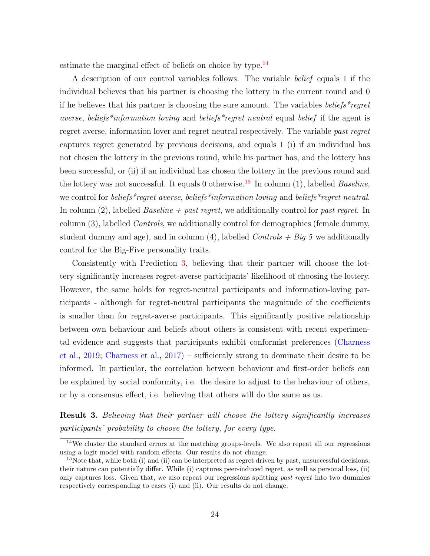estimate the marginal effect of beliefs on choice by type. $^{14}$  $^{14}$  $^{14}$ 

A description of our control variables follows. The variable belief equals 1 if the individual believes that his partner is choosing the lottery in the current round and 0 if he believes that his partner is choosing the sure amount. The variables beliefs \*regret averse, beliefs<sup>\*</sup>information loving and beliefs<sup>\*</sup>regret neutral equal belief if the agent is regret averse, information lover and regret neutral respectively. The variable past regret captures regret generated by previous decisions, and equals 1 (i) if an individual has not chosen the lottery in the previous round, while his partner has, and the lottery has been successful, or (ii) if an individual has chosen the lottery in the previous round and the lottery was not successful. It equals 0 otherwise.<sup>[15](#page-25-1)</sup> In column (1), labelled *Baseline*, we control for *beliefs*\*regret averse, *beliefs*\*information loving and *beliefs*\*regret neutral. In column  $(2)$ , labelled *Baseline + past regret*, we additionally control for past regret. In column (3), labelled Controls, we additionally control for demographics (female dummy, student dummy and age), and in column (4), labelled  $Contents + Big 5$  we additionally control for the Big-Five personality traits.

Consistently with Prediction [3,](#page-21-3) believing that their partner will choose the lottery significantly increases regret-averse participants' likelihood of choosing the lottery. However, the same holds for regret-neutral participants and information-loving participants - although for regret-neutral participants the magnitude of the coefficients is smaller than for regret-averse participants. This significantly positive relationship between own behaviour and beliefs about others is consistent with recent experimental evidence and suggests that participants exhibit conformist preferences [\(Charness](#page-28-1) [et al.,](#page-28-1) [2019;](#page-28-1) [Charness et al.,](#page-28-2) [2017\)](#page-28-2) – sufficiently strong to dominate their desire to be informed. In particular, the correlation between behaviour and first-order beliefs can be explained by social conformity, i.e. the desire to adjust to the behaviour of others, or by a consensus effect, i.e. believing that others will do the same as us.

**Result 3.** Believing that their partner will choose the lottery significantly increases participants' probability to choose the lottery, for every type.

<span id="page-25-0"></span><sup>&</sup>lt;sup>14</sup>We cluster the standard errors at the matching groups-levels. We also repeat all our regressions using a logit model with random effects. Our results do not change.

<span id="page-25-1"></span> $15$ Note that, while both (i) and (ii) can be interpreted as regret driven by past, unsuccessful decisions, their nature can potentially differ. While (i) captures peer-induced regret, as well as personal loss, (ii) only captures loss. Given that, we also repeat our regressions splitting *past regret* into two dummies respectively corresponding to cases (i) and (ii). Our results do not change.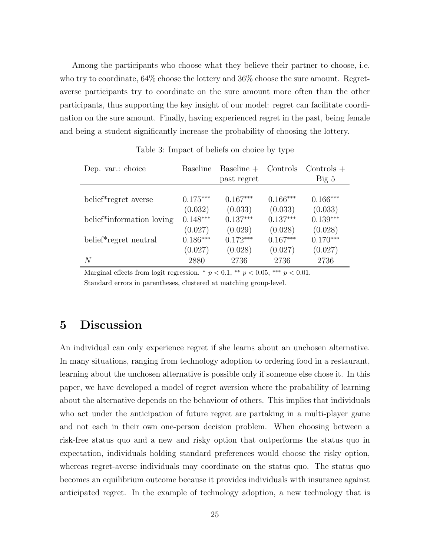Among the participants who choose what they believe their partner to choose, i.e. who try to coordinate, 64% choose the lottery and 36% choose the sure amount. Regretaverse participants try to coordinate on the sure amount more often than the other participants, thus supporting the key insight of our model: regret can facilitate coordination on the sure amount. Finally, having experienced regret in the past, being female and being a student significantly increase the probability of choosing the lottery.

| Dep. var.: choice                      | <b>Baseline</b> | Baseline $+$ | Controls   | $\text{Controls}$ + |
|----------------------------------------|-----------------|--------------|------------|---------------------|
|                                        |                 | past regret  |            | Big~5               |
|                                        |                 |              |            |                     |
| belief <sup>*</sup> regret averse      | $0.175***$      | $0.167***$   | $0.166***$ | $0.166***$          |
|                                        | (0.032)         | (0.033)      | (0.033)    | (0.033)             |
| belief <sup>*</sup> information loving | $0.148***$      | $0.137***$   | $0.137***$ | $0.139***$          |
|                                        | (0.027)         | (0.029)      | (0.028)    | (0.028)             |
| belief*regret neutral                  | $0.186***$      | $0.172***$   | $0.167***$ | $0.170***$          |
|                                        | (0.027)         | (0.028)      | (0.027)    | (0.027)             |
| N                                      | 2880            | 2736         | 2736       | 2736                |

Table 3: Impact of beliefs on choice by type

Marginal effects from logit regression.  $\frac{*}{p} < 0.1, \frac{**}{p} < 0.05, \frac{***}{p} < 0.01$ . Standard errors in parentheses, clustered at matching group-level.

# <span id="page-26-0"></span>5 Discussion

An individual can only experience regret if she learns about an unchosen alternative. In many situations, ranging from technology adoption to ordering food in a restaurant, learning about the unchosen alternative is possible only if someone else chose it. In this paper, we have developed a model of regret aversion where the probability of learning about the alternative depends on the behaviour of others. This implies that individuals who act under the anticipation of future regret are partaking in a multi-player game and not each in their own one-person decision problem. When choosing between a risk-free status quo and a new and risky option that outperforms the status quo in expectation, individuals holding standard preferences would choose the risky option, whereas regret-averse individuals may coordinate on the status quo. The status quo becomes an equilibrium outcome because it provides individuals with insurance against anticipated regret. In the example of technology adoption, a new technology that is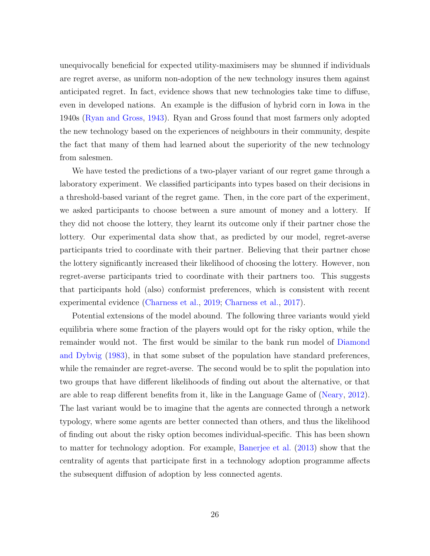unequivocally beneficial for expected utility-maximisers may be shunned if individuals are regret averse, as uniform non-adoption of the new technology insures them against anticipated regret. In fact, evidence shows that new technologies take time to diffuse, even in developed nations. An example is the diffusion of hybrid corn in Iowa in the 1940s [\(Ryan and Gross,](#page-29-0) [1943\)](#page-29-0). Ryan and Gross found that most farmers only adopted the new technology based on the experiences of neighbours in their community, despite the fact that many of them had learned about the superiority of the new technology from salesmen.

We have tested the predictions of a two-player variant of our regret game through a laboratory experiment. We classified participants into types based on their decisions in a threshold-based variant of the regret game. Then, in the core part of the experiment, we asked participants to choose between a sure amount of money and a lottery. If they did not choose the lottery, they learnt its outcome only if their partner chose the lottery. Our experimental data show that, as predicted by our model, regret-averse participants tried to coordinate with their partner. Believing that their partner chose the lottery significantly increased their likelihood of choosing the lottery. However, non regret-averse participants tried to coordinate with their partners too. This suggests that participants hold (also) conformist preferences, which is consistent with recent experimental evidence [\(Charness et al.,](#page-28-1) [2019;](#page-28-1) [Charness et al.,](#page-28-2) [2017\)](#page-28-2).

Potential extensions of the model abound. The following three variants would yield equilibria where some fraction of the players would opt for the risky option, while the remainder would not. The first would be similar to the bank run model of [Diamond](#page-28-8) [and Dybvig](#page-28-8) [\(1983\)](#page-28-8), in that some subset of the population have standard preferences, while the remainder are regret-averse. The second would be to split the population into two groups that have different likelihoods of finding out about the alternative, or that are able to reap different benefits from it, like in the Language Game of [\(Neary,](#page-29-10) [2012\)](#page-29-10). The last variant would be to imagine that the agents are connected through a network typology, where some agents are better connected than others, and thus the likelihood of finding out about the risky option becomes individual-specific. This has been shown to matter for technology adoption. For example, [Banerjee et al.](#page-28-9) [\(2013\)](#page-28-9) show that the centrality of agents that participate first in a technology adoption programme affects the subsequent diffusion of adoption by less connected agents.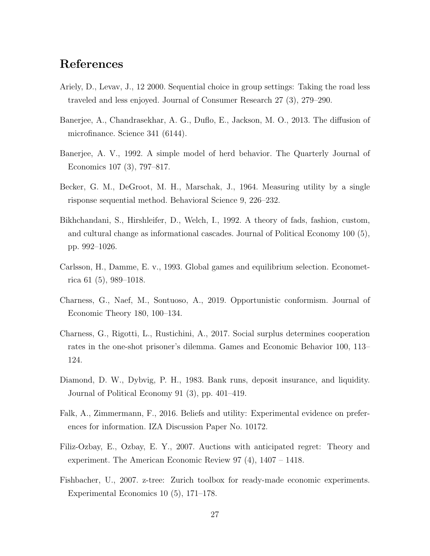# References

- <span id="page-28-0"></span>Ariely, D., Levav, J., 12 2000. Sequential choice in group settings: Taking the road less traveled and less enjoyed. Journal of Consumer Research 27 (3), 279–290.
- <span id="page-28-9"></span>Banerjee, A., Chandrasekhar, A. G., Duflo, E., Jackson, M. O., 2013. The diffusion of microfinance. Science 341 (6144).
- Banerjee, A. V., 1992. A simple model of herd behavior. The Quarterly Journal of Economics 107 (3), 797–817.
- <span id="page-28-7"></span>Becker, G. M., DeGroot, M. H., Marschak, J., 1964. Measuring utility by a single risponse sequential method. Behavioral Science 9, 226–232.
- Bikhchandani, S., Hirshleifer, D., Welch, I., 1992. A theory of fads, fashion, custom, and cultural change as informational cascades. Journal of Political Economy 100 (5), pp. 992–1026.
- <span id="page-28-5"></span>Carlsson, H., Damme, E. v., 1993. Global games and equilibrium selection. Econometrica 61 (5), 989–1018.
- <span id="page-28-1"></span>Charness, G., Naef, M., Sontuoso, A., 2019. Opportunistic conformism. Journal of Economic Theory 180, 100–134.
- <span id="page-28-2"></span>Charness, G., Rigotti, L., Rustichini, A., 2017. Social surplus determines cooperation rates in the one-shot prisoner's dilemma. Games and Economic Behavior 100, 113– 124.
- <span id="page-28-8"></span>Diamond, D. W., Dybvig, P. H., 1983. Bank runs, deposit insurance, and liquidity. Journal of Political Economy 91 (3), pp. 401–419.
- <span id="page-28-4"></span>Falk, A., Zimmermann, F., 2016. Beliefs and utility: Experimental evidence on preferences for information. IZA Discussion Paper No. 10172.
- <span id="page-28-3"></span>Filiz-Ozbay, E., Ozbay, E. Y., 2007. Auctions with anticipated regret: Theory and experiment. The American Economic Review 97 (4), 1407 – 1418.
- <span id="page-28-6"></span>Fishbacher, U., 2007. z-tree: Zurich toolbox for ready-made economic experiments. Experimental Economics 10 (5), 171–178.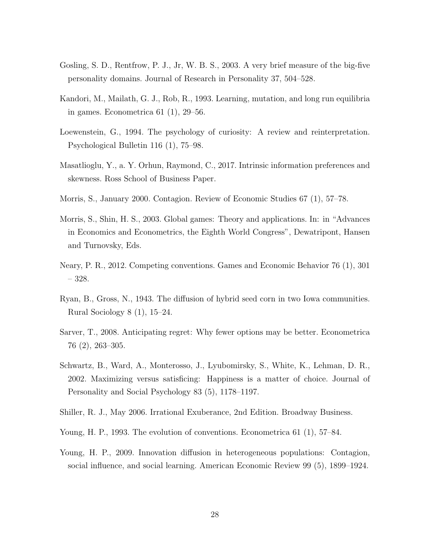- <span id="page-29-9"></span>Gosling, S. D., Rentfrow, P. J., Jr, W. B. S., 2003. A very brief measure of the big-five personality domains. Journal of Research in Personality 37, 504–528.
- <span id="page-29-5"></span>Kandori, M., Mailath, G. J., Rob, R., 1993. Learning, mutation, and long run equilibria in games. Econometrica 61 (1), 29–56.
- <span id="page-29-3"></span>Loewenstein, G., 1994. The psychology of curiosity: A review and reinterpretation. Psychological Bulletin 116 (1), 75–98.
- <span id="page-29-4"></span>Masatlioglu, Y., a. Y. Orhun, Raymond, C., 2017. Intrinsic information preferences and skewness. Ross School of Business Paper.
- Morris, S., January 2000. Contagion. Review of Economic Studies 67 (1), 57–78.
- <span id="page-29-7"></span>Morris, S., Shin, H. S., 2003. Global games: Theory and applications. In: in "Advances in Economics and Econometrics, the Eighth World Congress", Dewatripont, Hansen and Turnovsky, Eds.
- <span id="page-29-10"></span>Neary, P. R., 2012. Competing conventions. Games and Economic Behavior 76 (1), 301 – 328.
- <span id="page-29-0"></span>Ryan, B., Gross, N., 1943. The diffusion of hybrid seed corn in two Iowa communities. Rural Sociology 8 (1), 15–24.
- <span id="page-29-1"></span>Sarver, T., 2008. Anticipating regret: Why fewer options may be better. Econometrica 76 (2), 263–305.
- <span id="page-29-8"></span>Schwartz, B., Ward, A., Monterosso, J., Lyubomirsky, S., White, K., Lehman, D. R., 2002. Maximizing versus satisficing: Happiness is a matter of choice. Journal of Personality and Social Psychology 83 (5), 1178–1197.
- <span id="page-29-2"></span>Shiller, R. J., May 2006. Irrational Exuberance, 2nd Edition. Broadway Business.
- <span id="page-29-6"></span>Young, H. P., 1993. The evolution of conventions. Econometrica 61 (1), 57–84.
- Young, H. P., 2009. Innovation diffusion in heterogeneous populations: Contagion, social influence, and social learning. American Economic Review 99 (5), 1899–1924.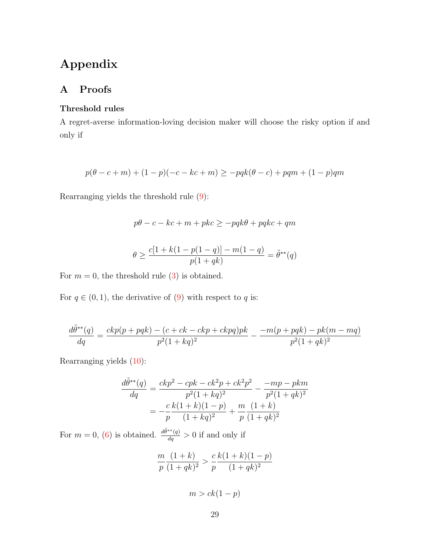# Appendix

# <span id="page-30-0"></span>A Proofs

## Threshold rules

A regret-averse information-loving decision maker will choose the risky option if and only if

$$
p(\theta - c + m) + (1 - p)(-c - kc + m) \ge -pqk(\theta - c) + pqm + (1 - p)qm
$$

Rearranging yields the threshold rule [\(9\)](#page-10-1):

$$
p\theta - c - kc + m + pkc \ge -pqk\theta + pqkc + qm
$$

$$
\theta \ge \frac{c[1 + k(1 - p(1 - q)) - m(1 - q)}{p(1 + qk)} = \tilde{\theta}^{**}(q)
$$

For  $m = 0$ , the threshold rule [\(3\)](#page-7-4) is obtained.

For  $q \in (0, 1)$ , the derivative of  $(9)$  with respect to q is:

$$
\frac{d\tilde{\theta}^{**}(q)}{dq} = \frac{ckp(p+pqk) - (c + ck - ckp + ckpq)pk}{p^2(1 + kq)^2} - \frac{-m(p+pqk) - pk(m-mq)}{p^2(1 + qk)^2}
$$

Rearranging yields [\(10\)](#page-10-0):

$$
\frac{d\tilde{\theta}^{**}(q)}{dq} = \frac{ckp^2 - cpk - ck^2p + ck^2p^2}{p^2(1 + kq)^2} - \frac{-mp - pkm}{p^2(1 + qk)^2}
$$

$$
= -\frac{c k(1 + k)(1 - p)}{p(1 + kq)^2} + \frac{m}{p} \frac{(1 + k)}{(1 + qk)^2}
$$

For  $m = 0$ , [\(6\)](#page-9-0) is obtained.  $\frac{d\tilde{\theta}^{**}(q)}{dq} > 0$  if and only if

$$
\frac{m}{p} \frac{(1+k)}{(1+qk)^2} > \frac{c k(1+k)(1-p)}{(1+qk)^2}
$$

 $m > ck(1-p)$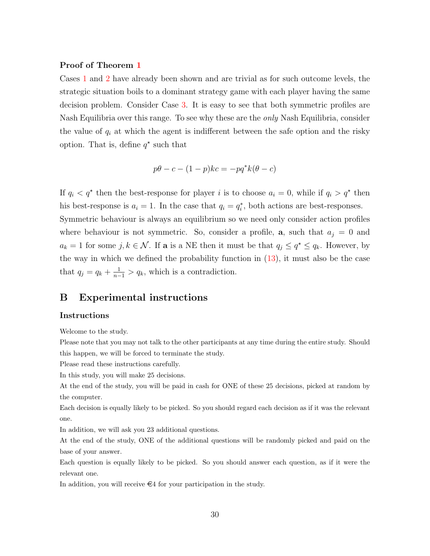#### Proof of Theorem [1](#page-13-1)

Cases [1](#page-13-2) and [2](#page-14-0) have already been shown and are trivial as for such outcome levels, the strategic situation boils to a dominant strategy game with each player having the same decision problem. Consider Case [3.](#page-14-1) It is easy to see that both symmetric profiles are Nash Equilibria over this range. To see why these are the *only* Nash Equilibria, consider the value of  $q_i$  at which the agent is indifferent between the safe option and the risky option. That is, define  $q^*$  such that

$$
p\theta - c - (1 - p)kc = -pq^*k(\theta - c)
$$

If  $q_i < q^*$  then the best-response for player i is to choose  $a_i = 0$ , while if  $q_i > q^*$  then his best-response is  $a_i = 1$ . In the case that  $q_i = q_i^*$ , both actions are best-responses.

Symmetric behaviour is always an equilibrium so we need only consider action profiles where behaviour is not symmetric. So, consider a profile, **a**, such that  $a_i = 0$  and  $a_k = 1$  for some  $j, k \in \mathcal{N}$ . If **a** is a NE then it must be that  $q_j \leq q^* \leq q_k$ . However, by the way in which we defined the probability function in  $(13)$ , it must also be the case that  $q_j = q_k + \frac{1}{n-1} > q_k$ , which is a contradiction.

# B Experimental instructions

#### Instructions

Welcome to the study.

Please note that you may not talk to the other participants at any time during the entire study. Should this happen, we will be forced to terminate the study.

Please read these instructions carefully.

In this study, you will make 25 decisions.

At the end of the study, you will be paid in cash for ONE of these 25 decisions, picked at random by the computer.

Each decision is equally likely to be picked. So you should regard each decision as if it was the relevant one.

In addition, we will ask you 23 additional questions.

At the end of the study, ONE of the additional questions will be randomly picked and paid on the base of your answer.

Each question is equally likely to be picked. So you should answer each question, as if it were the relevant one.

In addition, you will receive  $\in 4$  for your participation in the study.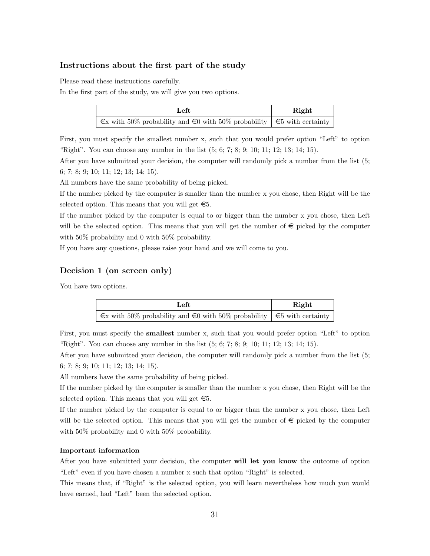#### Instructions about the first part of the study

Please read these instructions carefully.

In the first part of the study, we will give you two options.

| Left                                                                                   | Right |  |
|----------------------------------------------------------------------------------------|-------|--|
| $\infty$ with 50% probability and $\infty$ with 50% probability $\in$ 5 with certainty |       |  |

First, you must specify the smallest number x, such that you would prefer option "Left" to option "Right". You can choose any number in the list (5; 6; 7; 8; 9; 10; 11; 12; 13; 14; 15).

After you have submitted your decision, the computer will randomly pick a number from the list (5; 6; 7; 8; 9; 10; 11; 12; 13; 14; 15).

All numbers have the same probability of being picked.

If the number picked by the computer is smaller than the number x you chose, then Right will be the selected option. This means that you will get  $\epsilon$ 5.

If the number picked by the computer is equal to or bigger than the number x you chose, then Left will be the selected option. This means that you will get the number of  $\epsilon$  picked by the computer with 50% probability and 0 with 50% probability.

If you have any questions, please raise your hand and we will come to you.

#### Decision 1 (on screen only)

You have two options.

| Left                                                                                   | Right |
|----------------------------------------------------------------------------------------|-------|
| $\infty$ with 50% probability and $\infty$ with 50% probability $\in$ 5 with certainty |       |

First, you must specify the smallest number x, such that you would prefer option "Left" to option "Right". You can choose any number in the list (5; 6; 7; 8; 9; 10; 11; 12; 13; 14; 15).

After you have submitted your decision, the computer will randomly pick a number from the list (5; 6; 7; 8; 9; 10; 11; 12; 13; 14; 15).

All numbers have the same probability of being picked.

If the number picked by the computer is smaller than the number x you chose, then Right will be the selected option. This means that you will get  $\epsilon$ 5.

If the number picked by the computer is equal to or bigger than the number x you chose, then Left will be the selected option. This means that you will get the number of  $\epsilon$  picked by the computer with 50% probability and 0 with 50% probability.

#### Important information

After you have submitted your decision, the computer will let you know the outcome of option "Left" even if you have chosen a number x such that option "Right" is selected.

This means that, if "Right" is the selected option, you will learn nevertheless how much you would have earned, had "Left" been the selected option.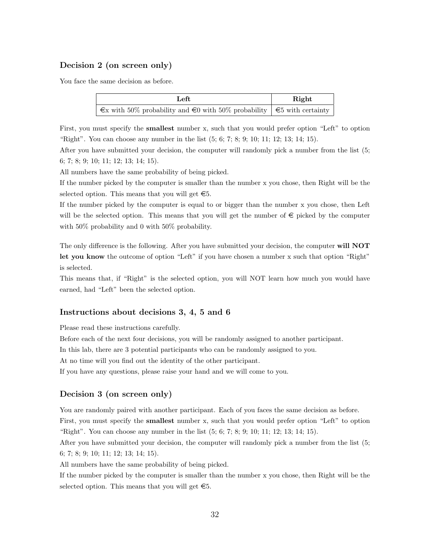### Decision 2 (on screen only)

You face the same decision as before.

| Left                                                                                   | Right |  |
|----------------------------------------------------------------------------------------|-------|--|
| $\infty$ with 50% probability and $\infty$ with 50% probability $\in$ 5 with certainty |       |  |

First, you must specify the smallest number x, such that you would prefer option "Left" to option "Right". You can choose any number in the list (5; 6; 7; 8; 9; 10; 11; 12; 13; 14; 15).

After you have submitted your decision, the computer will randomly pick a number from the list (5; 6; 7; 8; 9; 10; 11; 12; 13; 14; 15).

All numbers have the same probability of being picked.

If the number picked by the computer is smaller than the number x you chose, then Right will be the selected option. This means that you will get  $\epsilon$ 5.

If the number picked by the computer is equal to or bigger than the number x you chose, then Left will be the selected option. This means that you will get the number of  $\epsilon$  picked by the computer with 50% probability and 0 with 50% probability.

The only difference is the following. After you have submitted your decision, the computer will **NOT** let you know the outcome of option "Left" if you have chosen a number x such that option "Right" is selected.

This means that, if "Right" is the selected option, you will NOT learn how much you would have earned, had "Left" been the selected option.

#### Instructions about decisions 3, 4, 5 and 6

Please read these instructions carefully.

Before each of the next four decisions, you will be randomly assigned to another participant.

In this lab, there are 3 potential participants who can be randomly assigned to you.

At no time will you find out the identity of the other participant.

If you have any questions, please raise your hand and we will come to you.

#### Decision 3 (on screen only)

You are randomly paired with another participant. Each of you faces the same decision as before. First, you must specify the smallest number x, such that you would prefer option "Left" to option "Right". You can choose any number in the list (5; 6; 7; 8; 9; 10; 11; 12; 13; 14; 15).

After you have submitted your decision, the computer will randomly pick a number from the list (5; 6; 7; 8; 9; 10; 11; 12; 13; 14; 15).

All numbers have the same probability of being picked.

If the number picked by the computer is smaller than the number x you chose, then Right will be the selected option. This means that you will get  $\epsilon$ 5.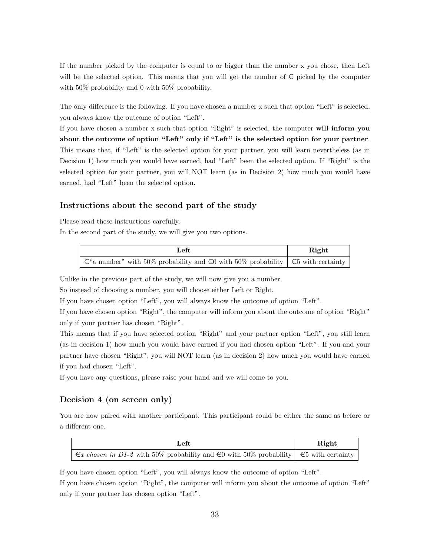If the number picked by the computer is equal to or bigger than the number x you chose, then Left will be the selected option. This means that you will get the number of  $\epsilon$  picked by the computer with 50% probability and 0 with 50% probability.

The only difference is the following. If you have chosen a number x such that option "Left" is selected, you always know the outcome of option "Left".

If you have chosen a number x such that option "Right" is selected, the computer will inform you about the outcome of option "Left" only if "Left" is the selected option for your partner. This means that, if "Left" is the selected option for your partner, you will learn nevertheless (as in Decision 1) how much you would have earned, had "Left" been the selected option. If "Right" is the selected option for your partner, you will NOT learn (as in Decision 2) how much you would have earned, had "Left" been the selected option.

#### Instructions about the second part of the study

Please read these instructions carefully.

In the second part of the study, we will give you two options.

| Left                                                                                          | Right |
|-----------------------------------------------------------------------------------------------|-------|
| $\in$ "a number" with 50% probability and $\in$ 0 with 50% probability $\in$ 5 with certainty |       |

Unlike in the previous part of the study, we will now give you a number.

So instead of choosing a number, you will choose either Left or Right.

If you have chosen option "Left", you will always know the outcome of option "Left".

If you have chosen option "Right", the computer will inform you about the outcome of option "Right" only if your partner has chosen "Right".

This means that if you have selected option "Right" and your partner option "Left", you still learn (as in decision 1) how much you would have earned if you had chosen option "Left". If you and your partner have chosen "Right", you will NOT learn (as in decision 2) how much you would have earned if you had chosen "Left".

If you have any questions, please raise your hand and we will come to you.

#### Decision 4 (on screen only)

You are now paired with another participant. This participant could be either the same as before or a different one.

| Left                                                                                                 | Right |
|------------------------------------------------------------------------------------------------------|-------|
| $\infty$ chosen in D1-2 with 50% probability and $\in$ 0 with 50% probability $\in$ 5 with certainty |       |

If you have chosen option "Left", you will always know the outcome of option "Left".

If you have chosen option "Right", the computer will inform you about the outcome of option "Left" only if your partner has chosen option "Left".